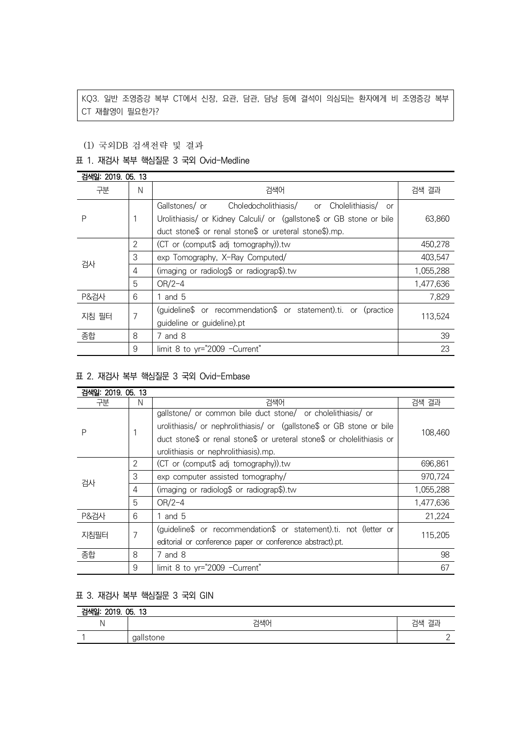KQ3. 일반 조영증강 복부 CT에서 신장, 요관, 담관, 담낭 등에 결석이 의심되는 환자에게 비 조영증강 복부 CT 재촬영이 필요한가?

### (1) 국외DB 검색전략 및 결과

### 표 1. 재검사 복부 핵심질문 3 국외 Ovid-Medline

| 검색일: 2019, 05, 13 |                |                                                                                                                                      |           |  |
|-------------------|----------------|--------------------------------------------------------------------------------------------------------------------------------------|-----------|--|
| 구분                | N              | 검색어                                                                                                                                  | 검색 결과     |  |
| P                 |                | Gallstones/ or Choledocholithiasis/ or Cholelithiasis/<br>or<br>Urolithiasis/ or Kidney Calculi/ or (gallstone\$ or GB stone or bile | 63,860    |  |
|                   |                | duct stone\$ or renal stone\$ or ureteral stone\$).mp.                                                                               |           |  |
| 검사                | $\overline{2}$ | (CT or (comput\$ adj tomography)).tw                                                                                                 | 450,278   |  |
|                   | 3              | exp Tomography, X-Ray Computed/                                                                                                      | 403,547   |  |
|                   | 4              | (imaging or radiolog\$ or radiograp\$).tw                                                                                            | 1,055,288 |  |
|                   | 5              | $OR/2-4$                                                                                                                             | 1,477,636 |  |
| <b>P&amp;검사</b>   | 6              | 1 and $5$                                                                                                                            | 7,829     |  |
| 지침 필터             | 7              | (quideline\$ or recommendation\$ or statement).ti. or (practice                                                                      | 113,524   |  |
|                   |                | guideline or guideline).pt                                                                                                           |           |  |
| 종합                | 8              | $7$ and $8$                                                                                                                          | 39        |  |
|                   | 9              | limit 8 to yr="2009 -Current"                                                                                                        | 23        |  |

## 표 2. 재검사 복부 핵심질문 3 국외 Ovid-Embase

| 검색일: 2019. 05. 13 |                |                                                                        |           |  |
|-------------------|----------------|------------------------------------------------------------------------|-----------|--|
| 구분                | N              | 검색어                                                                    | 검색 결과     |  |
| Ρ                 |                | gallstone/ or common bile duct stone/ or cholelithiasis/ or            |           |  |
|                   |                | urolithiasis/ or nephrolithiasis/ or (gallstone\$ or GB stone or bile  |           |  |
|                   |                | duct stone\$ or renal stone\$ or ureteral stone\$ or cholelithiasis or | 108,460   |  |
|                   |                | urolithiasis or nephrolithiasis).mp.                                   |           |  |
| 검사                | $\overline{2}$ | (CT or (comput\$ adj tomography)).tw                                   | 696,861   |  |
|                   | 3              | exp computer assisted tomography/                                      | 970,724   |  |
|                   | 4              | (imaging or radiolog\$ or radiograp\$).tw                              | 1,055,288 |  |
|                   | 5              | $OR/2-4$                                                               | 1,477,636 |  |
| <b>P&amp;검사</b>   | 6              | 1 and $5$                                                              | 21,224    |  |
| 지침필터              | 7              | (guideline\$ or recommendation\$ or statement).ti. not (letter or      | 115,205   |  |
|                   |                | editorial or conference paper or conference abstract).pt.              |           |  |
| 종합                | 8              | 7 and 8                                                                | 98        |  |
|                   | 9              | limit 8 to yr="2009 -Current"                                          | 67        |  |

# 표 3. 재검사 복부 핵심질문 3 국외 GIN

| 검색일: 2019. 05. 13 |           |       |  |  |
|-------------------|-----------|-------|--|--|
|                   | 검색0       | 검색 결괴 |  |  |
|                   | gallstone |       |  |  |